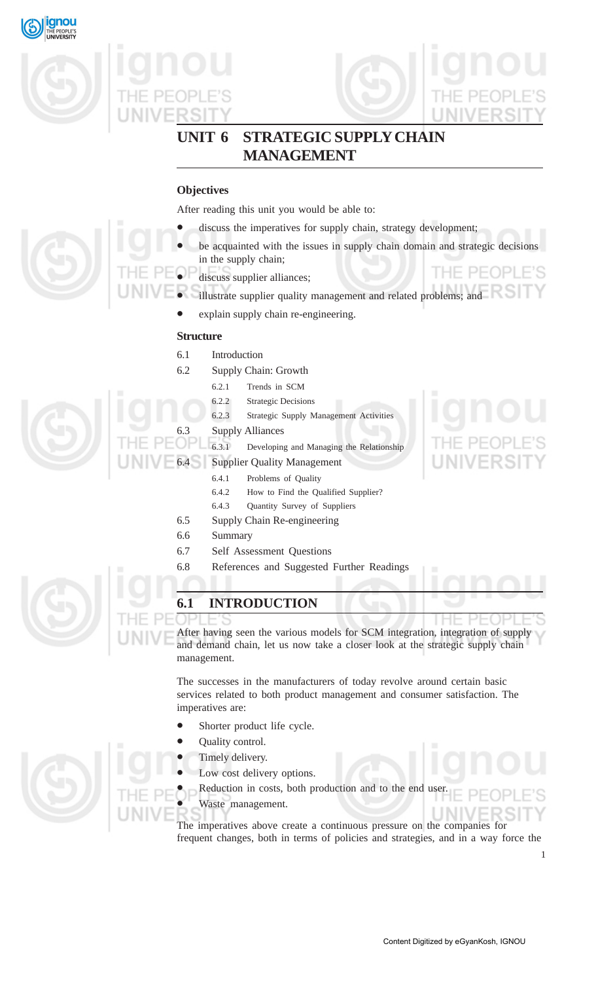







## **UNIT 6 STRATEGIC SUPPLY CHAIN MANAGEMENT**

## **Objectives**

After reading this unit you would be able to:

- discuss the imperatives for supply chain, strategy development;
- be acquainted with the issues in supply chain domain and strategic decisions in the supply chain; THE PEOPLE'S
- discuss supplier alliances;
- illustrate supplier quality management and related problems; and
	- explain supply chain re-engineering.

### **Structure**

- 6.1 Introduction
- 6.2 Supply Chain: Growth
	- 6.2.1 Trends in SCM
	- 6.2.2 Strategic Decisions
	- 6.2.3 Strategic Supply Management Activities
	- Supply Alliances
- 6.3.1 Developing and Managing the Relationship
- Supplier Quality Management
	- 6.4.1 Problems of Quality
	- 6.4.2 How to Find the Qualified Supplier?
	- 6.4.3 Quantity Survey of Suppliers
	- 6.5 Supply Chain Re-engineering
	- 6.6 Summary
	- 6.7 Self Assessment Questions
	- 6.8 References and Suggested Further Readings



## **6.1 INTRODUCTION**

After having seen the various models for SCM integration, integration of supply and demand chain, let us now take a closer look at the strategic supply chain management.

The successes in the manufacturers of today revolve around certain basic services related to both product management and consumer satisfaction. The imperatives are:

- Shorter product life cycle.
- Quality control.
- Timely delivery.
- Low cost delivery options.
- Reduction in costs, both production and to the end user.
- Waste management.

The imperatives above create a continuous pressure on the companies for frequent changes, both in terms of policies and strategies, and in a way force the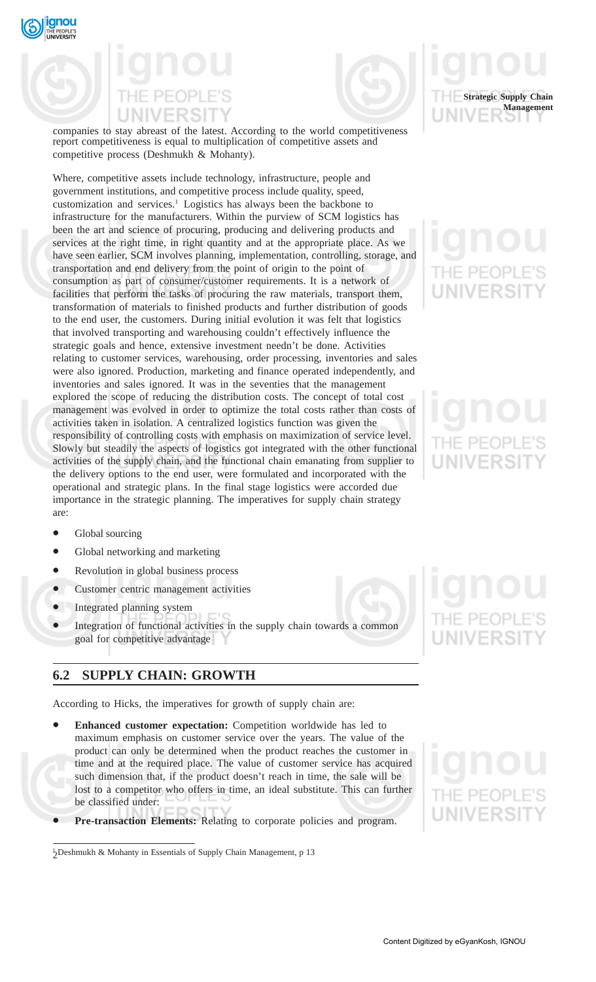



companies to stay abreast of the latest. According to the world competitiveness report competitiveness is equal to multiplication of competitive assets and competitive process (Deshmukh & Mohanty).

Where, competitive assets include technology, infrastructure, people and government institutions, and competitive process include quality, speed, customization and services.<sup>1</sup> Logistics has always been the backbone to infrastructure for the manufacturers. Within the purview of SCM logistics has been the art and science of procuring, producing and delivering products and services at the right time, in right quantity and at the appropriate place. As we have seen earlier, SCM involves planning, implementation, controlling, storage, and transportation and end delivery from the point of origin to the point of consumption as part of consumer/customer requirements. It is a network of facilities that perform the tasks of procuring the raw materials, transport them, transformation of materials to finished products and further distribution of goods to the end user, the customers. During initial evolution it was felt that logistics that involved transporting and warehousing couldn't effectively influence the strategic goals and hence, extensive investment needn't be done. Activities relating to customer services, warehousing, order processing, inventories and sales were also ignored. Production, marketing and finance operated independently, and inventories and sales ignored. It was in the seventies that the management explored the scope of reducing the distribution costs. The concept of total cost management was evolved in order to optimize the total costs rather than costs of activities taken in isolation. A centralized logistics function was given the responsibility of controlling costs with emphasis on maximization of service level. Slowly but steadily the aspects of logistics got integrated with the other functional activities of the supply chain, and the functional chain emanating from supplier to the delivery options to the end user, were formulated and incorporated with the operational and strategic plans. In the final stage logistics were accorded due importance in the strategic planning. The imperatives for supply chain strategy are:



- Global sourcing
- Global networking and marketing
- Revolution in global business process
- Customer centric management activities
- Integrated planning system
- Integration of functional activities in the supply chain towards a common goal for competitive advantage

### **6.2 SUPPLY CHAIN: GROWTH**

According to Hicks, the imperatives for growth of supply chain are:

- **Enhanced customer expectation:** Competition worldwide has led to maximum emphasis on customer service over the years. The value of the product can only be determined when the product reaches the customer in time and at the required place. The value of customer service has acquired such dimension that, if the product doesn't reach in time, the sale will be lost to a competitor who offers in time, an ideal substitute. This can further be classified under:
- **Pre-transaction Elements:** Relating to corporate policies and program.



<sup>2</sup> 1 Deshmukh & Mohanty in Essentials of Supply Chain Management, p 13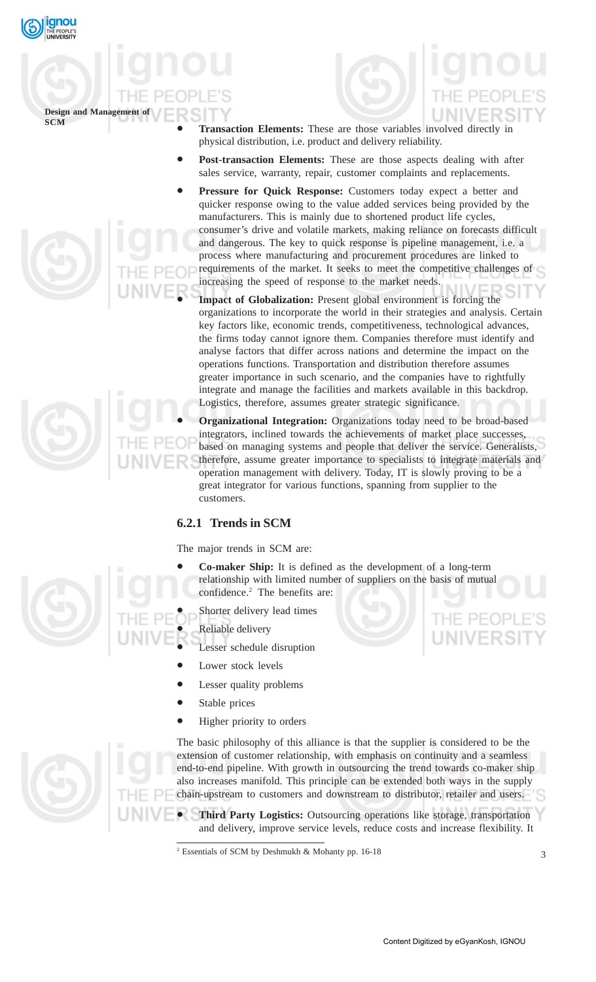

## **Design and Management of**

- **Transaction Elements:** These are those variables involved directly in physical distribution, i.e. product and delivery reliability.
- **Post-transaction Elements:** These are those aspects dealing with after sales service, warranty, repair, customer complaints and replacements.
- Pressure for Quick Response: Customers today expect a better and quicker response owing to the value added services being provided by the manufacturers. This is mainly due to shortened product life cycles, consumer's drive and volatile markets, making reliance on forecasts difficult and dangerous. The key to quick response is pipeline management, i.e. a process where manufacturing and procurement procedures are linked to requirements of the market. It seeks to meet the competitive challenges of increasing the speed of response to the market needs.
	- Impact of Globalization: Present global environment is forcing the organizations to incorporate the world in their strategies and analysis. Certain key factors like, economic trends, competitiveness, technological advances, the firms today cannot ignore them. Companies therefore must identify and analyse factors that differ across nations and determine the impact on the operations functions. Transportation and distribution therefore assumes greater importance in such scenario, and the companies have to rightfully integrate and manage the facilities and markets available in this backdrop. Logistics, therefore, assumes greater strategic significance.

• **Organizational Integration:** Organizations today need to be broad-based integrators, inclined towards the achievements of market place successes, based on managing systems and people that deliver the service. Generalists, therefore, assume greater importance to specialists to integrate materials and operation management with delivery. Today, IT is slowly proving to be a great integrator for various functions, spanning from supplier to the customers.

## **6.2.1 Trends in SCM**

The major trends in SCM are:

- **Co-maker Ship:** It is defined as the development of a long-term relationship with limited number of suppliers on the basis of mutual confidence.2 The benefits are:
- Shorter delivery lead times
- Reliable delivery
- Lesser schedule disruption
	- Lower stock levels
- Lesser quality problems
- Stable prices
- Higher priority to orders



The basic philosophy of this alliance is that the supplier is considered to be the extension of customer relationship, with emphasis on continuity and a seamless end-to-end pipeline. With growth in outsourcing the trend towards co-maker ship also increases manifold. This principle can be extended both ways in the supply chain-upstream to customers and downstream to distributor, retailer and users.

• **Third Party Logistics:** Outsourcing operations like storage, transportation and delivery, improve service levels, reduce costs and increase flexibility. It

**JNIVERSI** 

<sup>2</sup> Essentials of SCM by Deshmukh & Mohanty pp. 16-18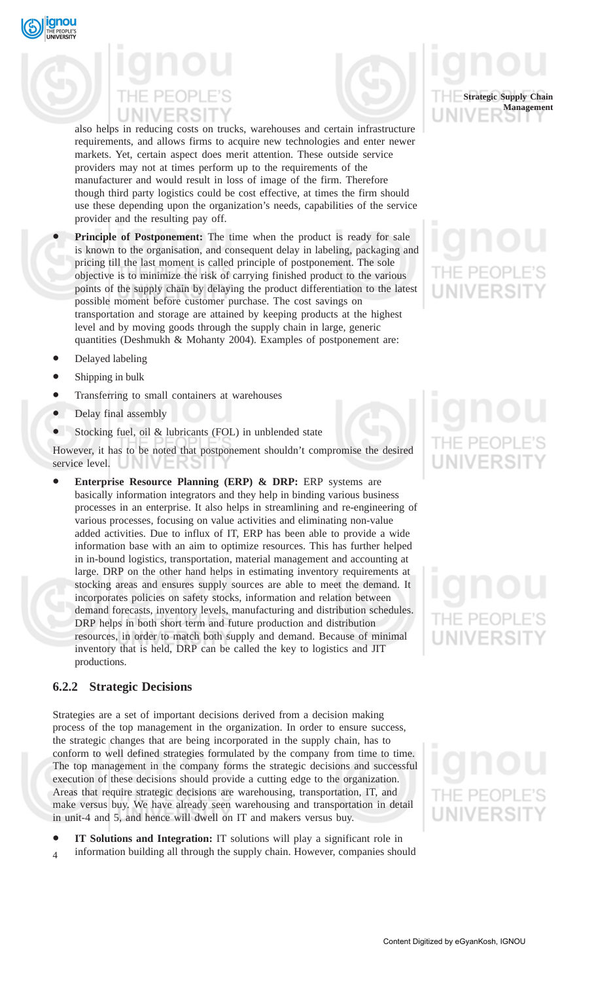



also helps in reducing costs on trucks, warehouses and certain infrastructure requirements, and allows firms to acquire new technologies and enter newer markets. Yet, certain aspect does merit attention. These outside service providers may not at times perform up to the requirements of the manufacturer and would result in loss of image of the firm. Therefore though third party logistics could be cost effective, at times the firm should use these depending upon the organization's needs, capabilities of the service provider and the resulting pay off.

Principle of Postponement: The time when the product is ready for sale is known to the organisation, and consequent delay in labeling, packaging and pricing till the last moment is called principle of postponement. The sole objective is to minimize the risk of carrying finished product to the various points of the supply chain by delaying the product differentiation to the latest possible moment before customer purchase. The cost savings on transportation and storage are attained by keeping products at the highest level and by moving goods through the supply chain in large, generic quantities (Deshmukh & Mohanty 2004). Examples of postponement are:

- Delayed labeling
- Shipping in bulk
- Transferring to small containers at warehouses
- Delay final assembly
- Stocking fuel, oil & lubricants (FOL) in unblended state

However, it has to be noted that postponement shouldn't compromise the desired service level.

• **Enterprise Resource Planning (ERP) & DRP:** ERP systems are basically information integrators and they help in binding various business processes in an enterprise. It also helps in streamlining and re-engineering of various processes, focusing on value activities and eliminating non-value added activities. Due to influx of IT, ERP has been able to provide a wide information base with an aim to optimize resources. This has further helped in in-bound logistics, transportation, material management and accounting at large. DRP on the other hand helps in estimating inventory requirements at stocking areas and ensures supply sources are able to meet the demand. It incorporates policies on safety stocks, information and relation between demand forecasts, inventory levels, manufacturing and distribution schedules. DRP helps in both short term and future production and distribution resources, in order to match both supply and demand. Because of minimal inventory that is held, DRP can be called the key to logistics and JIT productions.

### **6.2.2 Strategic Decisions**

Strategies are a set of important decisions derived from a decision making process of the top management in the organization. In order to ensure success, the strategic changes that are being incorporated in the supply chain, has to conform to well defined strategies formulated by the company from time to time. The top management in the company forms the strategic decisions and successful execution of these decisions should provide a cutting edge to the organization. Areas that require strategic decisions are warehousing, transportation, IT, and make versus buy. We have already seen warehousing and transportation in detail in unit-4 and 5, and hence will dwell on IT and makers versus buy.

 $\overline{A}$ • **IT Solutions and Integration:** IT solutions will play a significant role in information building all through the supply chain. However, companies should



# NIVERSI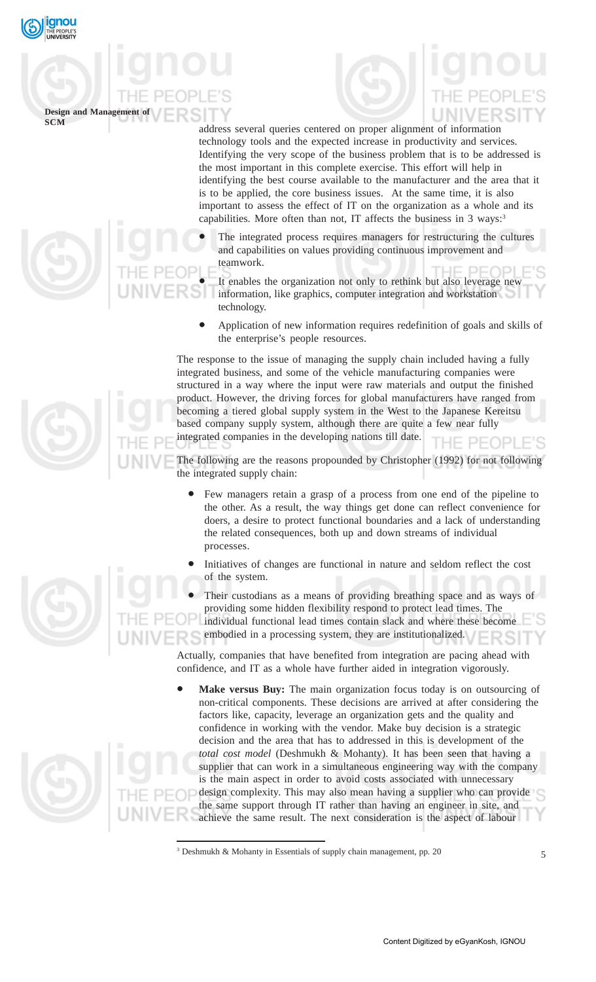

## **Design and Management of**

address several queries centered on proper alignment of information technology tools and the expected increase in productivity and services. Identifying the very scope of the business problem that is to be addressed is the most important in this complete exercise. This effort will help in identifying the best course available to the manufacturer and the area that it is to be applied, the core business issues. At the same time, it is also important to assess the effect of IT on the organization as a whole and its capabilities. More often than not, IT affects the business in 3 ways:<sup>3</sup>

- The integrated process requires managers for restructuring the cultures and capabilities on values providing continuous improvement and teamwork.
- It enables the organization not only to rethink but also leverage new information, like graphics, computer integration and workstation technology.
- Application of new information requires redefinition of goals and skills of the enterprise's people resources.

The response to the issue of managing the supply chain included having a fully integrated business, and some of the vehicle manufacturing companies were structured in a way where the input were raw materials and output the finished product. However, the driving forces for global manufacturers have ranged from becoming a tiered global supply system in the West to the Japanese Kereitsu based company supply system, although there are quite a few near fully integrated companies in the developing nations till date. PEOPLE'S

The following are the reasons propounded by Christopher (1992) for not following the integrated supply chain:

- Few managers retain a grasp of a process from one end of the pipeline to the other. As a result, the way things get done can reflect convenience for doers, a desire to protect functional boundaries and a lack of understanding the related consequences, both up and down streams of individual processes.
- Initiatives of changes are functional in nature and seldom reflect the cost of the system.

Their custodians as a means of providing breathing space and as ways of providing some hidden flexibility respond to protect lead times. The individual functional lead times contain slack and where these become embodied in a processing system, they are institutionalized.

Actually, companies that have benefited from integration are pacing ahead with confidence, and IT as a whole have further aided in integration vigorously.

Make versus Buy: The main organization focus today is on outsourcing of non-critical components. These decisions are arrived at after considering the factors like, capacity, leverage an organization gets and the quality and confidence in working with the vendor. Make buy decision is a strategic decision and the area that has to addressed in this is development of the *total cost model* (Deshmukh & Mohanty). It has been seen that having a supplier that can work in a simultaneous engineering way with the company is the main aspect in order to avoid costs associated with unnecessary design complexity. This may also mean having a supplier who can provide the same support through IT rather than having an engineer in site, and achieve the same result. The next consideration is the aspect of labour





<sup>&</sup>lt;sup>3</sup> Deshmukh & Mohanty in Essentials of supply chain management, pp. 20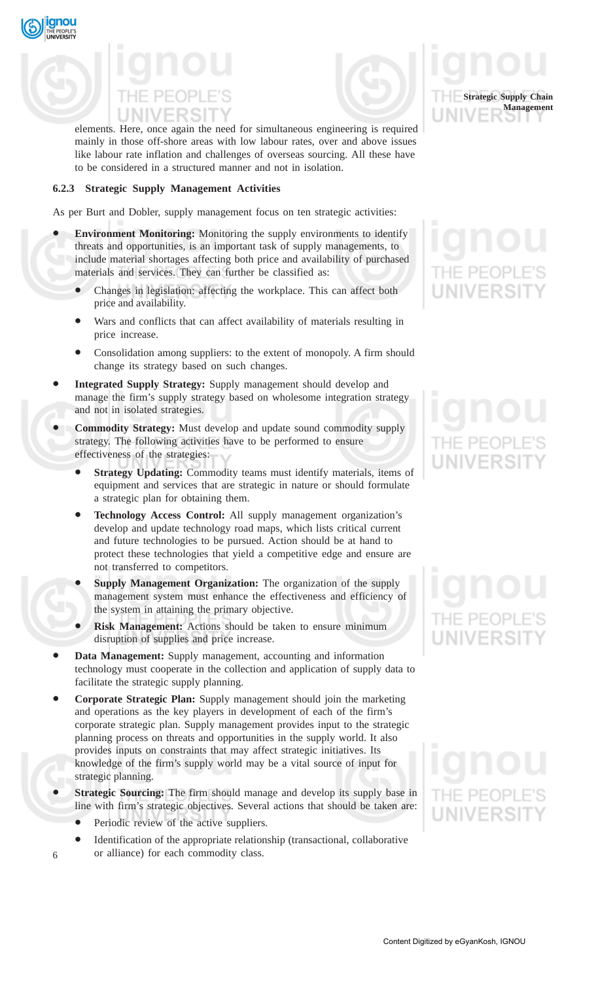

qnou



elements. Here, once again the need for simultaneous engineering is required mainly in those off-shore areas with low labour rates, over and above issues like labour rate inflation and challenges of overseas sourcing. All these have to be considered in a structured manner and not in isolation.

### **6.2.3 Strategic Supply Management Activities**

As per Burt and Dobler, supply management focus on ten strategic activities:

- **Environment Monitoring:** Monitoring the supply environments to identify threats and opportunities, is an important task of supply managements, to include material shortages affecting both price and availability of purchased materials and services. They can further be classified as:
	- Changes in legislation: affecting the workplace. This can affect both price and availability.
	- Wars and conflicts that can affect availability of materials resulting in price increase.
	- Consolidation among suppliers: to the extent of monopoly. A firm should change its strategy based on such changes.
- **Integrated Supply Strategy:** Supply management should develop and manage the firm's supply strategy based on wholesome integration strategy and not in isolated strategies.
- **Commodity Strategy:** Must develop and update sound commodity supply strategy. The following activities have to be performed to ensure effectiveness of the strategies:
	- **Strategy Updating:** Commodity teams must identify materials, items of equipment and services that are strategic in nature or should formulate a strategic plan for obtaining them.
	- **Technology Access Control:** All supply management organization's develop and update technology road maps, which lists critical current and future technologies to be pursued. Action should be at hand to protect these technologies that yield a competitive edge and ensure are not transferred to competitors.
	- **Supply Management Organization:** The organization of the supply management system must enhance the effectiveness and efficiency of the system in attaining the primary objective.
	- **Risk Management:** Actions should be taken to ensure minimum disruption of supplies and price increase.
- **Data Management:** Supply management, accounting and information technology must cooperate in the collection and application of supply data to facilitate the strategic supply planning.
- **Corporate Strategic Plan:** Supply management should join the marketing and operations as the key players in development of each of the firm's corporate strategic plan. Supply management provides input to the strategic planning process on threats and opportunities in the supply world. It also provides inputs on constraints that may affect strategic initiatives. Its knowledge of the firm's supply world may be a vital source of input for strategic planning.
- **Strategic Sourcing:** The firm should manage and develop its supply base in line with firm's strategic objectives. Several actions that should be taken are:
	- Periodic review of the active suppliers.

6

• Identification of the appropriate relationship (transactional, collaborative or alliance) for each commodity class.

## **Strategic Supply Chain Management**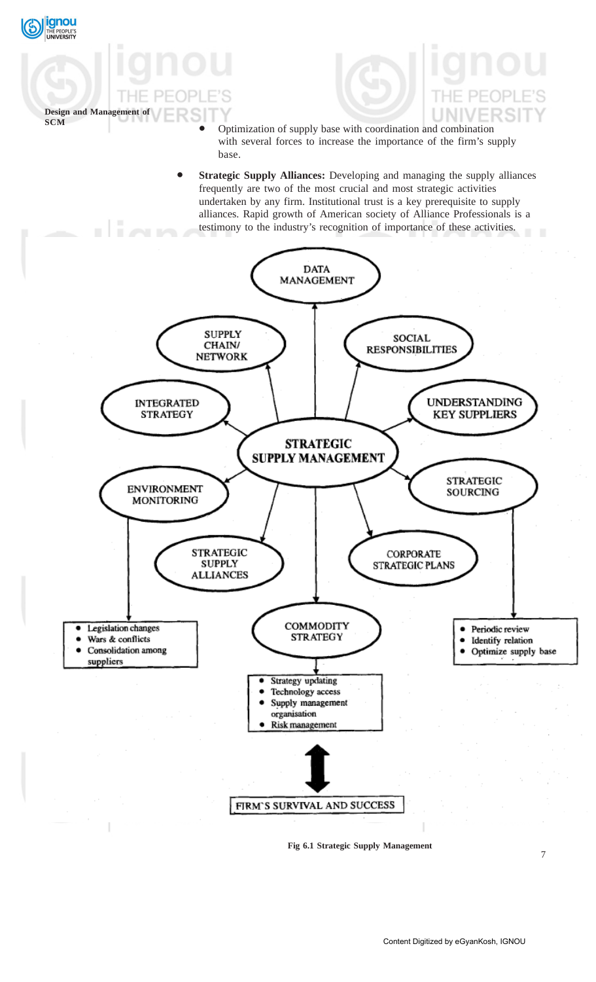

ignou PEOPLE'S<br>**VERSITY** 

**Fig 6.1 Strategic Supply Management**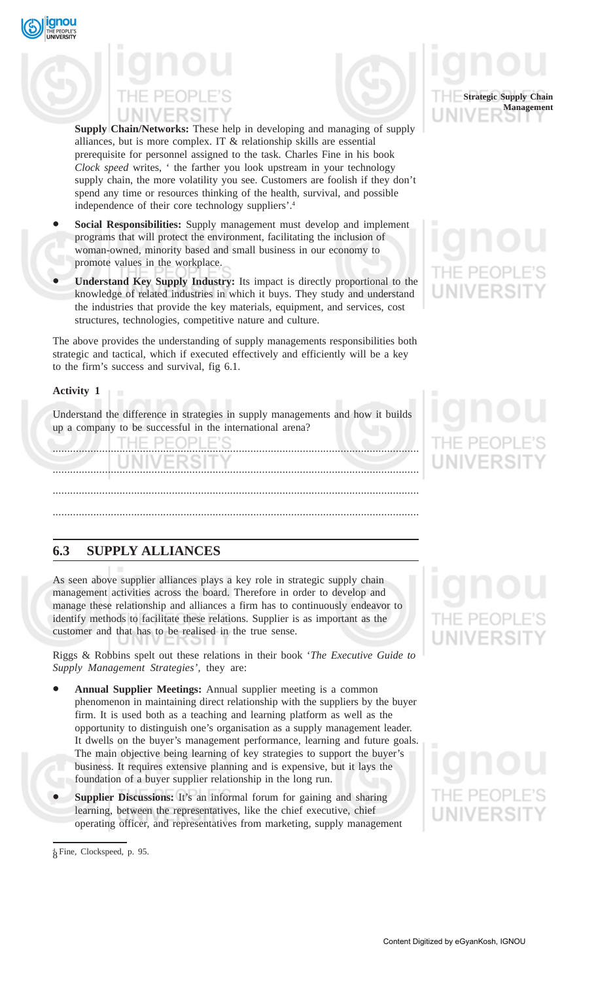



**Supply Chain/Networks:** These help in developing and managing of supply alliances, but is more complex. IT & relationship skills are essential prerequisite for personnel assigned to the task. Charles Fine in his book *Clock speed* writes, ' the farther you look upstream in your technology supply chain, the more volatility you see. Customers are foolish if they don't spend any time or resources thinking of the health, survival, and possible independence of their core technology suppliers'.4

- **Social Responsibilities:** Supply management must develop and implement programs that will protect the environment, facilitating the inclusion of woman-owned, minority based and small business in our economy to promote values in the workplace.
- **Understand Key Supply Industry:** Its impact is directly proportional to the knowledge of related industries in which it buys. They study and understand the industries that provide the key materials, equipment, and services, cost structures, technologies, competitive nature and culture.

The above provides the understanding of supply managements responsibilities both strategic and tactical, which if executed effectively and efficiently will be a key to the firm's success and survival, fig 6.1.

### **Activity 1**

qnou

Understand the difference in strategies in supply managements and how it builds up a company to be successful in the international arena?

**FIO** 

..............................................................................................................................

..............................................................................................................................

..............................................................................................................................

..............................................................................................................................

**6.3 SUPPLY ALLIANCES**

As seen above supplier alliances plays a key role in strategic supply chain management activities across the board. Therefore in order to develop and manage these relationship and alliances a firm has to continuously endeavor to identify methods to facilitate these relations. Supplier is as important as the customer and that has to be realised in the true sense.

Riggs & Robbins spelt out these relations in their book '*The Executive Guide to Supply Management Strategies',* they are:

- **Annual Supplier Meetings:** Annual supplier meeting is a common phenomenon in maintaining direct relationship with the suppliers by the buyer firm. It is used both as a teaching and learning platform as well as the opportunity to distinguish one's organisation as a supply management leader. It dwells on the buyer's management performance, learning and future goals. The main objective being learning of key strategies to support the buyer's business. It requires extensive planning and is expensive, but it lays the foundation of a buyer supplier relationship in the long run.
- **Supplier Discussions:** It's an informal forum for gaining and sharing learning, between the representatives, like the chief executive, chief operating officer, and representatives from marketing, supply management

8 4 Fine, Clockspeed, p. 95.

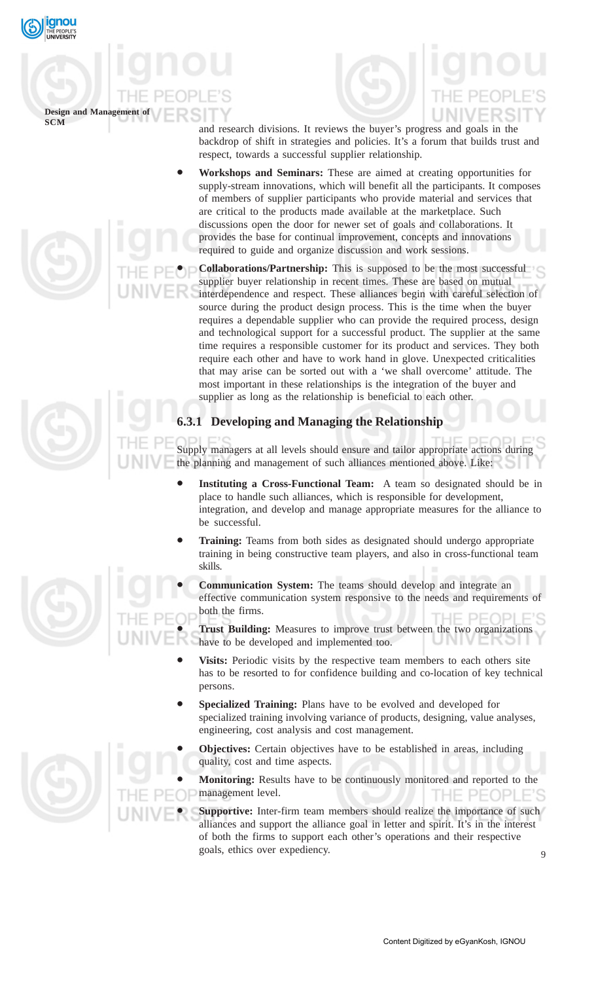

## **Design and Management of**

and research divisions. It reviews the buyer's progress and goals in the backdrop of shift in strategies and policies. It's a forum that builds trust and respect, towards a successful supplier relationship.

• **Workshops and Seminars:** These are aimed at creating opportunities for supply-stream innovations, which will benefit all the participants. It composes of members of supplier participants who provide material and services that are critical to the products made available at the marketplace. Such discussions open the door for newer set of goals and collaborations. It provides the base for continual improvement, concepts and innovations required to guide and organize discussion and work sessions.

• **Collaborations/Partnership:** This is supposed to be the most successful supplier buyer relationship in recent times. These are based on mutual interdependence and respect. These alliances begin with careful selection of source during the product design process. This is the time when the buyer requires a dependable supplier who can provide the required process, design and technological support for a successful product. The supplier at the same time requires a responsible customer for its product and services. They both require each other and have to work hand in glove. Unexpected criticalities that may arise can be sorted out with a 'we shall overcome' attitude. The most important in these relationships is the integration of the buyer and supplier as long as the relationship is beneficial to each other.

## **6.3.1 Developing and Managing the Relationship**

Supply managers at all levels should ensure and tailor appropriate actions during the planning and management of such alliances mentioned above. Like:

- Instituting a Cross-Functional Team: A team so designated should be in place to handle such alliances, which is responsible for development, integration, and develop and manage appropriate measures for the alliance to be successful.
- **Training:** Teams from both sides as designated should undergo appropriate training in being constructive team players, and also in cross-functional team skills.
- **Communication System:** The teams should develop and integrate an effective communication system responsive to the needs and requirements of both the firms.  $H = P F C$ וכור

• **Trust Building:** Measures to improve trust between the two organizations have to be developed and implemented too.

- Visits: Periodic visits by the respective team members to each others site has to be resorted to for confidence building and co-location of key technical persons.
- **Specialized Training:** Plans have to be evolved and developed for specialized training involving variance of products, designing, value analyses, engineering, cost analysis and cost management.
- **Objectives:** Certain objectives have to be established in areas, including quality, cost and time aspects.

• **Monitoring:** Results have to be continuously monitored and reported to the management level. THE PEOPLE'S

**Supportive:** Inter-firm team members should realize the importance of such alliances and support the alliance goal in letter and spirit. It's in the interest of both the firms to support each other's operations and their respective goals, ethics over expediency.

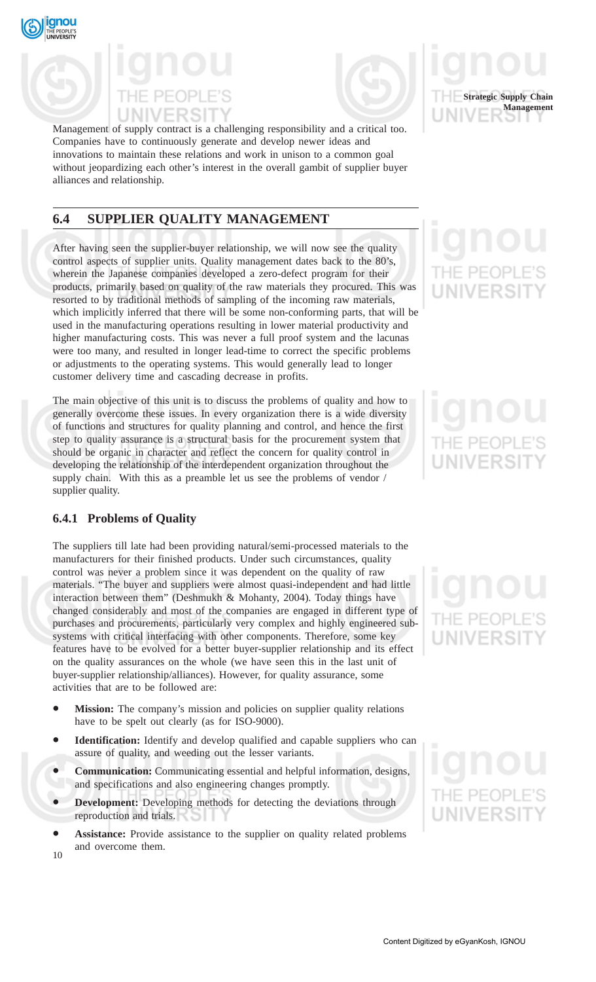



Management of supply contract is a challenging responsibility and a critical too. Companies have to continuously generate and develop newer ideas and innovations to maintain these relations and work in unison to a common goal without jeopardizing each other's interest in the overall gambit of supplier buyer alliances and relationship.

## **6.4 SUPPLIER QUALITY MANAGEMENT**

After having seen the supplier-buyer relationship, we will now see the quality control aspects of supplier units. Quality management dates back to the 80's, wherein the Japanese companies developed a zero-defect program for their products, primarily based on quality of the raw materials they procured. This was resorted to by traditional methods of sampling of the incoming raw materials, which implicitly inferred that there will be some non-conforming parts, that will be used in the manufacturing operations resulting in lower material productivity and higher manufacturing costs. This was never a full proof system and the lacunas were too many, and resulted in longer lead-time to correct the specific problems or adjustments to the operating systems. This would generally lead to longer customer delivery time and cascading decrease in profits.

The main objective of this unit is to discuss the problems of quality and how to generally overcome these issues. In every organization there is a wide diversity of functions and structures for quality planning and control, and hence the first step to quality assurance is a structural basis for the procurement system that should be organic in character and reflect the concern for quality control in developing the relationship of the interdependent organization throughout the supply chain. With this as a preamble let us see the problems of vendor / supplier quality.

### **6.4.1 Problems of Quality**

The suppliers till late had been providing natural/semi-processed materials to the manufacturers for their finished products. Under such circumstances, quality control was never a problem since it was dependent on the quality of raw materials. "The buyer and suppliers were almost quasi-independent and had little interaction between them" (Deshmukh & Mohanty, 2004). Today things have changed considerably and most of the companies are engaged in different type of purchases and procurements, particularly very complex and highly engineered subsystems with critical interfacing with other components. Therefore, some key features have to be evolved for a better buyer-supplier relationship and its effect on the quality assurances on the whole (we have seen this in the last unit of buyer-supplier relationship/alliances). However, for quality assurance, some activities that are to be followed are:

- **Mission:** The company's mission and policies on supplier quality relations have to be spelt out clearly (as for ISO-9000).
- Identification: Identify and develop qualified and capable suppliers who can assure of quality, and weeding out the lesser variants.
- **Communication:** Communicating essential and helpful information, designs, and specifications and also engineering changes promptly.
- **Development:** Developing methods for detecting the deviations through reproduction and trials.
- $1<sub>0</sub>$ Assistance: Provide assistance to the supplier on quality related problems and overcome them.

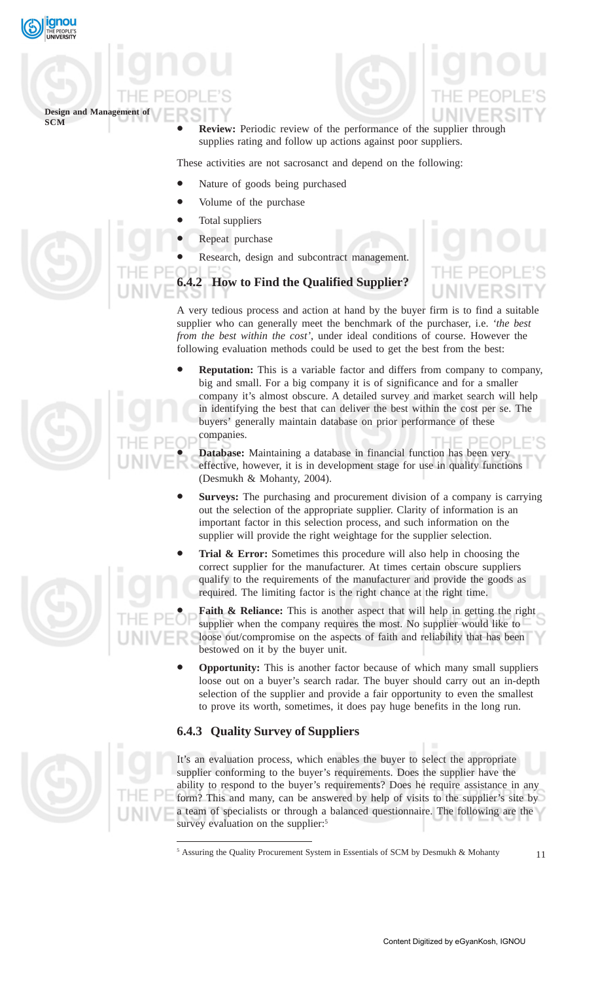

## **Design and Management of SCM**

**Review:** Periodic review of the performance of the supplier through supplies rating and follow up actions against poor suppliers.

These activities are not sacrosanct and depend on the following:

- Nature of goods being purchased
- Volume of the purchase
- Total suppliers
- Repeat purchase
	- Research, design and subcontract management.

## **6.4.2 How to Find the Qualified Supplier?**

A very tedious process and action at hand by the buyer firm is to find a suitable supplier who can generally meet the benchmark of the purchaser, i.e. *'the best from the best within the cost'*, under ideal conditions of course. However the following evaluation methods could be used to get the best from the best:

• **Reputation:** This is a variable factor and differs from company to company, big and small. For a big company it is of significance and for a smaller company it's almost obscure. A detailed survey and market search will help in identifying the best that can deliver the best within the cost per se. The buyers' generally maintain database on prior performance of these companies.

• **Database:** Maintaining a database in financial function has been very effective, however, it is in development stage for use in quality functions (Desmukh & Mohanty, 2004).

- **Surveys:** The purchasing and procurement division of a company is carrying out the selection of the appropriate supplier. Clarity of information is an important factor in this selection process, and such information on the supplier will provide the right weightage for the supplier selection.
- **Trial & Error:** Sometimes this procedure will also help in choosing the correct supplier for the manufacturer. At times certain obscure suppliers qualify to the requirements of the manufacturer and provide the goods as required. The limiting factor is the right chance at the right time.

**Faith & Reliance:** This is another aspect that will help in getting the right supplier when the company requires the most. No supplier would like to loose out/compromise on the aspects of faith and reliability that has been bestowed on it by the buyer unit.

• **Opportunity:** This is another factor because of which many small suppliers loose out on a buyer's search radar. The buyer should carry out an in-depth selection of the supplier and provide a fair opportunity to even the smallest to prove its worth, sometimes, it does pay huge benefits in the long run.

### **6.4.3 Quality Survey of Suppliers**

It's an evaluation process, which enables the buyer to select the appropriate supplier conforming to the buyer's requirements. Does the supplier have the ability to respond to the buyer's requirements? Does he require assistance in any form? This and many, can be answered by help of visits to the supplier's site by a team of specialists or through a balanced questionnaire. The following are the survey evaluation on the supplier:<sup>5</sup>







<sup>&</sup>lt;sup>5</sup> Assuring the Quality Procurement System in Essentials of SCM by Desmukh & Mohanty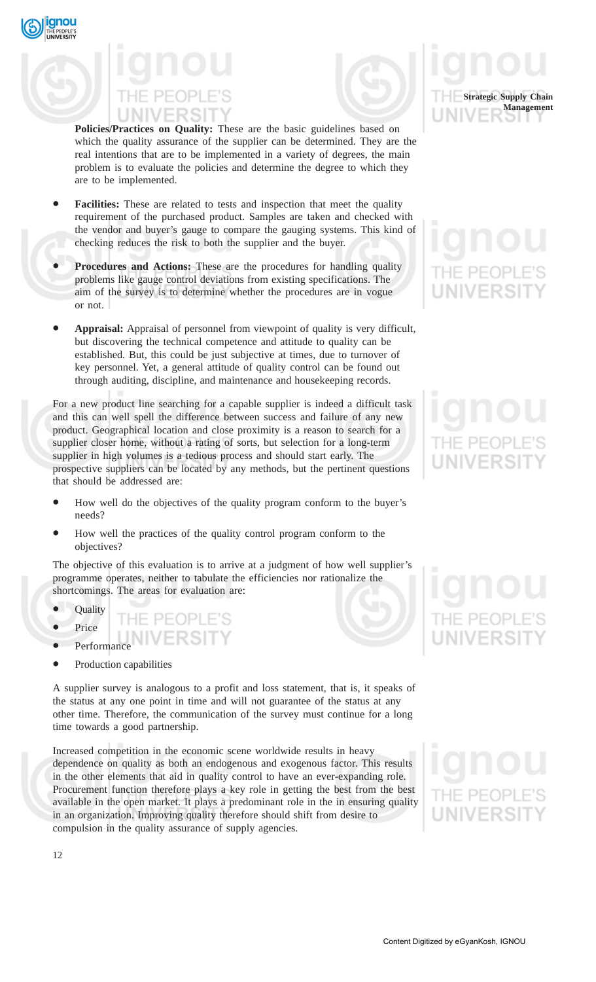qnou



**Policies/Practices on Quality:** These are the basic guidelines based on which the quality assurance of the supplier can be determined. They are the real intentions that are to be implemented in a variety of degrees, the main problem is to evaluate the policies and determine the degree to which they are to be implemented.

- **Facilities:** These are related to tests and inspection that meet the quality requirement of the purchased product. Samples are taken and checked with the vendor and buyer's gauge to compare the gauging systems. This kind of checking reduces the risk to both the supplier and the buyer.
- **Procedures and Actions:** These are the procedures for handling quality problems like gauge control deviations from existing specifications. The aim of the survey is to determine whether the procedures are in vogue or not.
- **Appraisal:** Appraisal of personnel from viewpoint of quality is very difficult, but discovering the technical competence and attitude to quality can be established. But, this could be just subjective at times, due to turnover of key personnel. Yet, a general attitude of quality control can be found out through auditing, discipline, and maintenance and housekeeping records.

For a new product line searching for a capable supplier is indeed a difficult task and this can well spell the difference between success and failure of any new product. Geographical location and close proximity is a reason to search for a supplier closer home, without a rating of sorts, but selection for a long-term supplier in high volumes is a tedious process and should start early. The prospective suppliers can be located by any methods, but the pertinent questions that should be addressed are:

- How well do the objectives of the quality program conform to the buyer's needs?
- How well the practices of the quality control program conform to the objectives?

THE PEOPLE'S **IIVERSIT** 

The objective of this evaluation is to arrive at a judgment of how well supplier's programme operates, neither to tabulate the efficiencies nor rationalize the shortcomings. The areas for evaluation are:

- **Quality**
- **Price**
- **Performance**
- Production capabilities

A supplier survey is analogous to a profit and loss statement, that is, it speaks of the status at any one point in time and will not guarantee of the status at any other time. Therefore, the communication of the survey must continue for a long time towards a good partnership.

Increased competition in the economic scene worldwide results in heavy dependence on quality as both an endogenous and exogenous factor. This results in the other elements that aid in quality control to have an ever-expanding role. Procurement function therefore plays a key role in getting the best from the best available in the open market. It plays a predominant role in the in ensuring quality in an organization. Improving quality therefore should shift from desire to compulsion in the quality assurance of supply agencies.

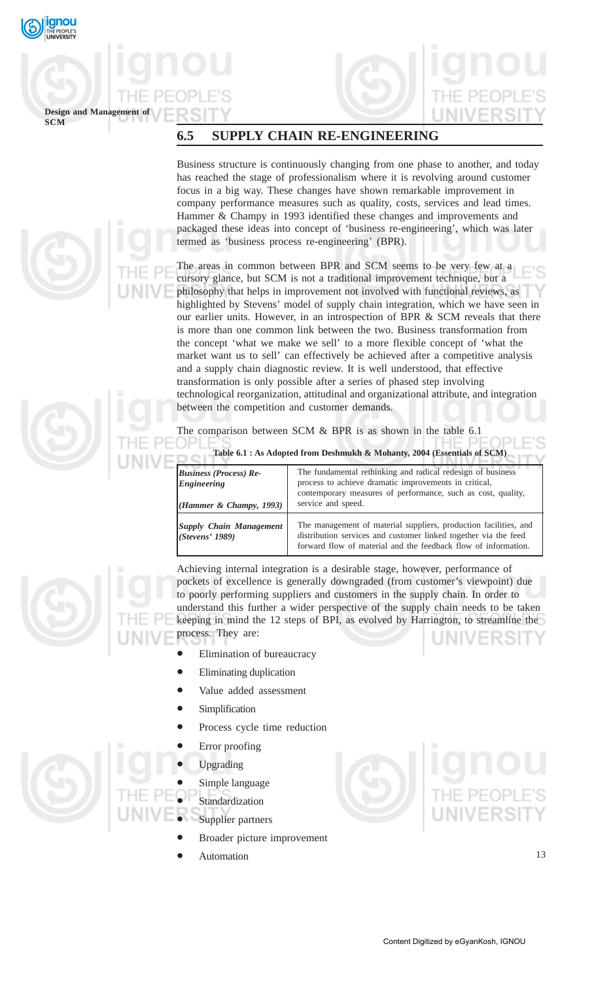

## **Design and Management of**

## **6.5 SUPPLY CHAIN RE-ENGINEERING**

Business structure is continuously changing from one phase to another, and today has reached the stage of professionalism where it is revolving around customer focus in a big way. These changes have shown remarkable improvement in company performance measures such as quality, costs, services and lead times. Hammer & Champy in 1993 identified these changes and improvements and packaged these ideas into concept of 'business re-engineering', which was later termed as 'business process re-engineering' (BPR).

The areas in common between BPR and SCM seems to be very few at a cursory glance, but SCM is not a traditional improvement technique, but a philosophy that helps in improvement not involved with functional reviews, as highlighted by Stevens' model of supply chain integration, which we have seen in our earlier units. However, in an introspection of BPR & SCM reveals that there is more than one common link between the two. Business transformation from the concept 'what we make we sell' to a more flexible concept of 'what the market want us to sell' can effectively be achieved after a competitive analysis and a supply chain diagnostic review. It is well understood, that effective transformation is only possible after a series of phased step involving technological reorganization, attitudinal and organizational attribute, and integration between the competition and customer demands.

The comparison between SCM & BPR is as shown in the table 6.1

**Table 6.1 : As Adopted from Deshmukh & Mohanty, 2004 (Essentials of SCM)**

| <b>Business (Process) Re-</b><br>Engineering<br>(Hammer & Champy, 1993) | The fundamental rethinking and radical redesign of business<br>process to achieve dramatic improvements in critical,<br>contemporary measures of performance, such as cost, quality,<br>service and speed. |
|-------------------------------------------------------------------------|------------------------------------------------------------------------------------------------------------------------------------------------------------------------------------------------------------|
| Supply Chain Management<br>(Stevens' 1989)                              | The management of material suppliers, production facilities, and<br>distribution services and customer linked together via the feed<br>forward flow of material and the feedback flow of information.      |

Achieving internal integration is a desirable stage, however, performance of pockets of excellence is generally downgraded (from customer's viewpoint) due to poorly performing suppliers and customers in the supply chain. In order to understand this further a wider perspective of the supply chain needs to be taken keeping in mind the 12 steps of BPI, as evolved by Harrington, to streamline the process. They are:

- Elimination of bureaucracy
- **Eliminating duplication**
- Value added assessment
- **Simplification**
- Process cycle time reduction
- Error proofing

• Upgrading

Simple language

- **Standardization** 
	- Supplier partners
		- Broader picture improvement
		- **Automation**

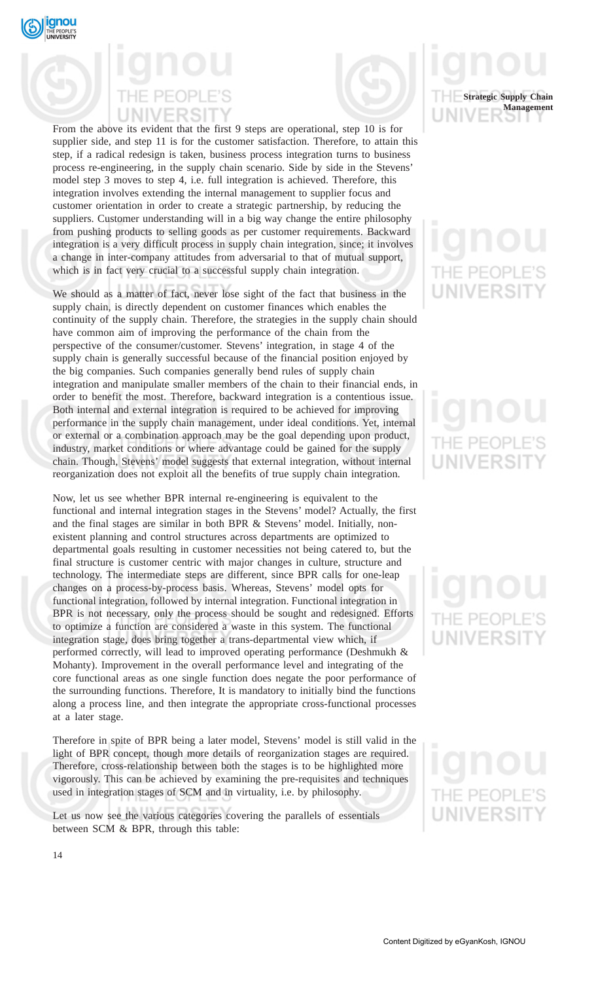



From the above its evident that the first 9 steps are operational, step 10 is for supplier side, and step 11 is for the customer satisfaction. Therefore, to attain this step, if a radical redesign is taken, business process integration turns to business process re-engineering, in the supply chain scenario. Side by side in the Stevens' model step 3 moves to step 4, i.e. full integration is achieved. Therefore, this integration involves extending the internal management to supplier focus and customer orientation in order to create a strategic partnership, by reducing the suppliers. Customer understanding will in a big way change the entire philosophy from pushing products to selling goods as per customer requirements. Backward integration is a very difficult process in supply chain integration, since; it involves a change in inter-company attitudes from adversarial to that of mutual support, which is in fact very crucial to a successful supply chain integration.

We should as a matter of fact, never lose sight of the fact that business in the supply chain, is directly dependent on customer finances which enables the continuity of the supply chain. Therefore, the strategies in the supply chain should have common aim of improving the performance of the chain from the perspective of the consumer/customer. Stevens' integration, in stage 4 of the supply chain is generally successful because of the financial position enjoyed by the big companies. Such companies generally bend rules of supply chain integration and manipulate smaller members of the chain to their financial ends, in order to benefit the most. Therefore, backward integration is a contentious issue. Both internal and external integration is required to be achieved for improving performance in the supply chain management, under ideal conditions. Yet, internal or external or a combination approach may be the goal depending upon product, industry, market conditions or where advantage could be gained for the supply chain. Though, Stevens' model suggests that external integration, without internal reorganization does not exploit all the benefits of true supply chain integration.

Now, let us see whether BPR internal re-engineering is equivalent to the functional and internal integration stages in the Stevens' model? Actually, the first and the final stages are similar in both BPR & Stevens' model. Initially, nonexistent planning and control structures across departments are optimized to departmental goals resulting in customer necessities not being catered to, but the final structure is customer centric with major changes in culture, structure and technology. The intermediate steps are different, since BPR calls for one-leap changes on a process-by-process basis. Whereas, Stevens' model opts for functional integration, followed by internal integration. Functional integration in BPR is not necessary, only the process should be sought and redesigned. Efforts to optimize a function are considered a waste in this system. The functional integration stage, does bring together a trans-departmental view which, if performed correctly, will lead to improved operating performance (Deshmukh & Mohanty). Improvement in the overall performance level and integrating of the core functional areas as one single function does negate the poor performance of the surrounding functions. Therefore, It is mandatory to initially bind the functions along a process line, and then integrate the appropriate cross-functional processes at a later stage.

Therefore in spite of BPR being a later model, Stevens' model is still valid in the light of BPR concept, though more details of reorganization stages are required. Therefore, cross-relationship between both the stages is to be highlighted more vigorously. This can be achieved by examining the pre-requisites and techniques used in integration stages of SCM and in virtuality, i.e. by philosophy.

Let us now see the various categories covering the parallels of essentials between SCM & BPR, through this table:



# NIVERSI

# JNIVERSI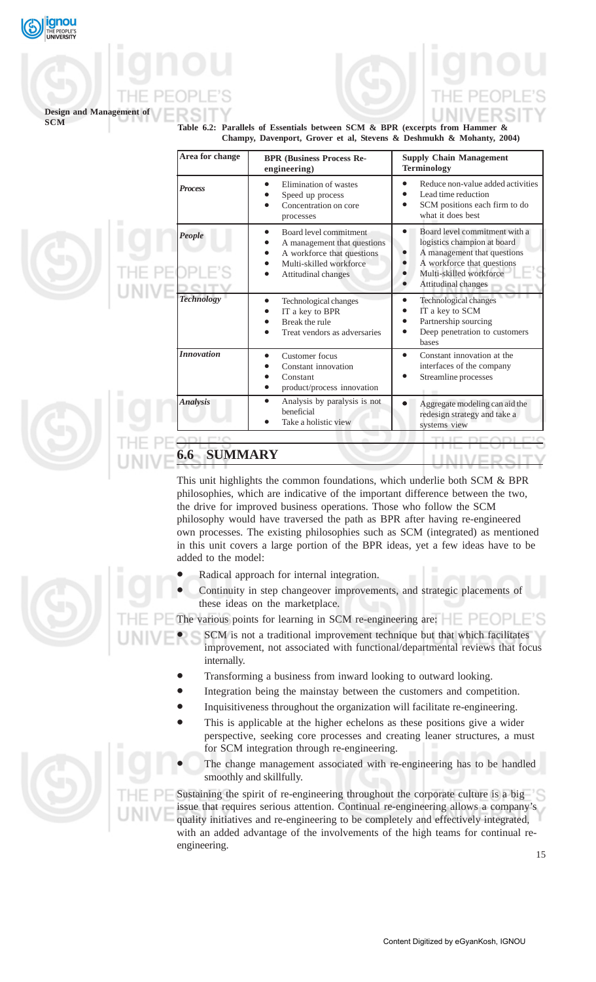

## **Design and Management of**

**Table 6.2: Parallels of Essentials between SCM & BPR (excerpts from Hammer & Champy, Davenport, Grover et al, Stevens & Deshmukh & Mohanty, 2004)**

| Area for change   | <b>BPR (Business Process Re-</b><br>engineering)                                                                                      | <b>Supply Chain Management</b><br><b>Terminology</b>                                                                                                                                     |
|-------------------|---------------------------------------------------------------------------------------------------------------------------------------|------------------------------------------------------------------------------------------------------------------------------------------------------------------------------------------|
| <b>Process</b>    | Elimination of wastes<br>Speed up process<br>Concentration on core<br>processes                                                       | Reduce non-value added activities<br>Lead time reduction<br>SCM positions each firm to do<br>what it does best                                                                           |
| People            | Board level commitment<br>A management that questions<br>A workforce that questions<br>Multi-skilled workforce<br>Attitudinal changes | Board level commitment with a<br>$\bullet$<br>logistics champion at board<br>A management that questions<br>A workforce that questions<br>Multi-skilled workforce<br>Attitudinal changes |
| <b>Technology</b> | Technological changes<br>IT a key to BPR<br>Break the rule<br>Treat vendors as adversaries                                            | Technological changes<br>IT a key to SCM<br>Partnership sourcing<br>Deep penetration to customers<br>bases                                                                               |
| <b>Innovation</b> | Customer focus<br>Constant innovation<br>Constant<br>product/process innovation                                                       | Constant innovation at the<br>interfaces of the company<br>Streamline processes                                                                                                          |
| <b>Analysis</b>   | Analysis by paralysis is not<br>beneficial<br>Take a holistic view                                                                    | Aggregate modeling can aid the<br>redesign strategy and take a<br>systems view                                                                                                           |

This unit highlights the common foundations, which underlie both SCM & BPR philosophies, which are indicative of the important difference between the two, the drive for improved business operations. Those who follow the SCM philosophy would have traversed the path as BPR after having re-engineered own processes. The existing philosophies such as SCM (integrated) as mentioned in this unit covers a large portion of the BPR ideas, yet a few ideas have to be added to the model:

- Radical approach for internal integration.
- Continuity in step changeover improvements, and strategic placements of these ideas on the marketplace.

The various points for learning in SCM re-engineering are:  $\Box$ 

- SCM is not a traditional improvement technique but that which facilitates improvement, not associated with functional/departmental reviews that focus internally.
	- Transforming a business from inward looking to outward looking.
	- Integration being the mainstay between the customers and competition.
	- Inquisitiveness throughout the organization will facilitate re-engineering.
	- This is applicable at the higher echelons as these positions give a wider perspective, seeking core processes and creating leaner structures, a must for SCM integration through re-engineering.
- The change management associated with re-engineering has to be handled smoothly and skillfully.

Sustaining the spirit of re-engineering throughout the corporate culture is a big issue that requires serious attention. Continual re-engineering allows a company's quality initiatives and re-engineering to be completely and effectively integrated, with an added advantage of the involvements of the high teams for continual reengineering.